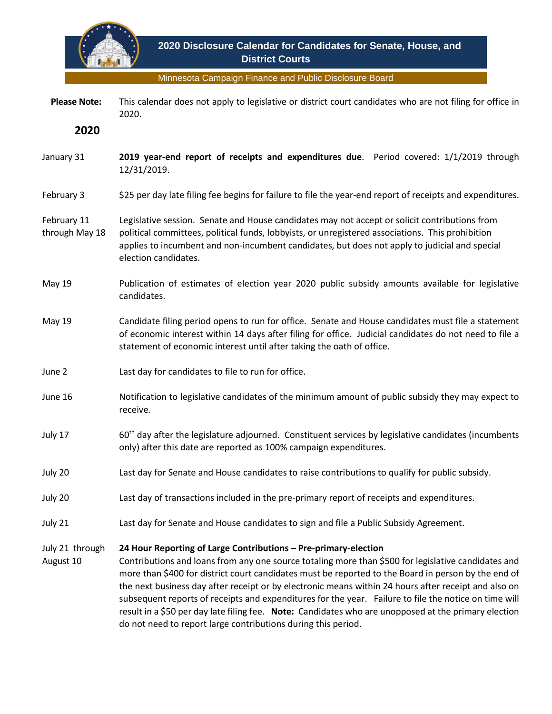

Minnesota Campaign Finance and Public Disclosure Board

 **Please Note:** This calendar does not apply to legislative or district court candidates who are not filing for office in 2020.

**2020**

- January 31 **2019 year-end report of receipts and expenditures due**. Period covered: 1/1/2019 through 12/31/2019.
- February 3 \$25 per day late filing fee begins for failure to file the year-end report of receipts and expenditures.

## February 11 through May 18 Legislative session. Senate and House candidates may not accept or solicit contributions from political committees, political funds, lobbyists, or unregistered associations. This prohibition applies to incumbent and non-incumbent candidates, but does not apply to judicial and special election candidates.

- May 19 Publication of estimates of election year 2020 public subsidy amounts available for legislative candidates.
- May 19 Candidate filing period opens to run for office. Senate and House candidates must file a statement of economic interest within 14 days after filing for office. Judicial candidates do not need to file a statement of economic interest until after taking the oath of office.
- June 2 Last day for candidates to file to run for office.
- June 16 Notification to legislative candidates of the minimum amount of public subsidy they may expect to receive.
- July 17 60th day after the legislature adjourned. Constituent services by legislative candidates (incumbents only) after this date are reported as 100% campaign expenditures.
- July 20 Last day for Senate and House candidates to raise contributions to qualify for public subsidy.
- July 20 Last day of transactions included in the pre-primary report of receipts and expenditures.
- July 21 Last day for Senate and House candidates to sign and file a Public Subsidy Agreement.

## July 21 through **24 Hour Reporting of Large Contributions – Pre-primary-election**

August 10 Contributions and loans from any one source totaling more than \$500 for legislative candidates and more than \$400 for district court candidates must be reported to the Board in person by the end of the next business day after receipt or by electronic means within 24 hours after receipt and also on subsequent reports of receipts and expenditures for the year. Failure to file the notice on time will result in a \$50 per day late filing fee. **Note:** Candidates who are unopposed at the primary election do not need to report large contributions during this period.